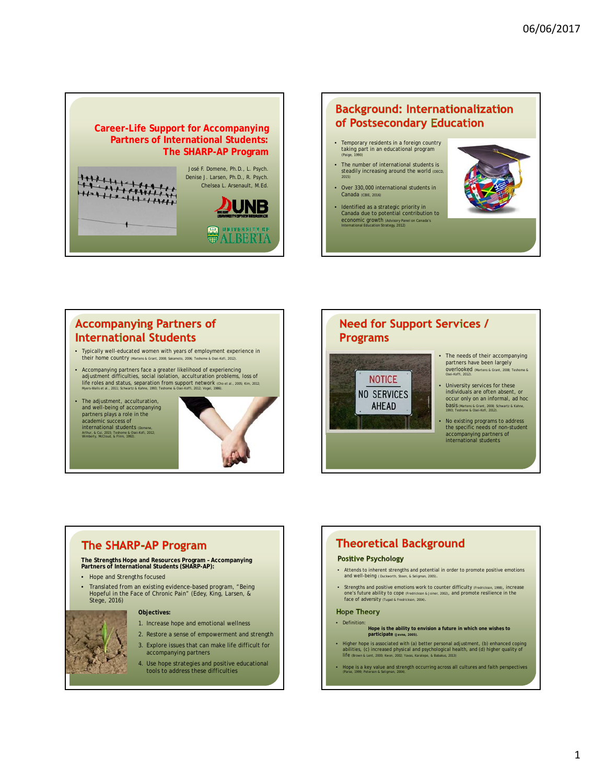

### **Background: Internationalization** of Postsecondary Education

- Temporary residents in a foreign country taking part in an educational program (Paige, 1990)
	- The number of international students is steadily increasing around the world <sub>(OECD,</sub><br><sup>2015)</sup> • Over 330,000 international students in
- Canada (CBIE, 2016)
- Identified as a strategic priority in Canada due to potential contribution to economic growth (Advisory Panel on Canada's International Education Strategy, 2012)



## **Accompanying Partners of International Students**

- Typically well-educated women with years of employment experience in typically well educate
- Accompanying partners face a greater likelihood of experiencing adjustment difficulties, social isolation, acculturation problems, loss of life roles and status, separation from support network (Cho et al., 2005; Kim, 2012; Myers-Walls et al., 2011; Schwartz & Kahne, 1993; Teshome & Osei-Koffi, 2012; Vogel, 1986).
- The adjustment, acculturation, and well-being of accompanying partners plays a role in the academic success of international students (Domene, Arthur, & Cui, 2015; Teshome & Osei-Kofi, 2012; Wimberly, McCloud, & Flinn, 1992).



### **Need for Support Services / Programs**



- The needs of their accompanying partners have been largely overlooked (Martens & Grant, 2008; Teshome & Osei-Koffi, 2012).
- University services for these individuals are often absent, or occur only on an informal, ad hoc basis (Martens & Grant, 2008; Schwartz & Kahne, 1993; Teshome & Osei-Kofi, 2012).
- No existing programs to address the specific needs of non-student accompanying partners of international students

# **The SHARP-AP Program**

**The Strengths Hope and Resources Program – Accompanying Partners of International Students (SHARP-AP):**

- Hope and Strengths focused
- Translated from an existing evidence-based program, "Being Hopeful in the Face of Chronic Pain" (Edey, King, Larsen, & Stege, 2016)

**Objectives:**

- 1. Increase hope and emotional wellness
- 2. Restore a sense of empowerment and strength
- 3. Explore issues that can make life difficult for accompanying partners
- 4. Use hope strategies and positive educational tools to address these difficulties

# **Theoretical Background**

#### **Positive Psychology**

- Attends to inherent strengths and potential in order to promote positive emotions and well-being ( Duckworth
- Strengths and positive emotions work to counter difficulty (Fredrickson, 1998), increase one's future ability to cope (Fredrickson & Joiner, 2002), and promote resilience in the face of adversity (Tugad & Fredrickson, 2004).

#### **Hope Theory**

- Definition: **Hope is the ability to envision a future in which one wishes to participate (Jevne, 2005).**
- Higher hope is associated with (a) better personal adjustment, (b) enhanced coping<br>abilities, (c) increased physical and psychological health, and (d) higher quality of<br>Ife (thrown & Lent, 2000; Kwon, 2002; Yawas, Karate
- Hope is a key value and strength occurring across all cultures and faith perspectives (Parse, 1999; Peterson & Seligman, 2004).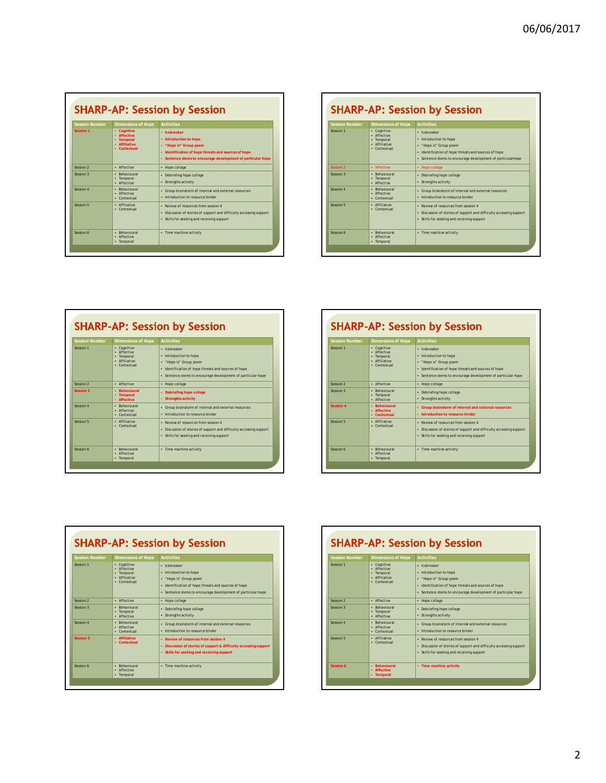| <b>Session Number</b> | <b>Dimensions of Hope</b>                                                 | <b>Activities</b>                                                                                                                                                                        |
|-----------------------|---------------------------------------------------------------------------|------------------------------------------------------------------------------------------------------------------------------------------------------------------------------------------|
| Session 1             | • Cognitive<br>· Affective<br>• Temporal<br>· Affiliative<br>· Contextual | · Icebreaker<br>• Introduction to hope<br>. "Hope is" Group poem<br>• Identification of hope threats and sources of hope<br>• Sentence stems to encourage development of particular hope |
| Session 2             | · Affective                                                               | · Hope collage                                                                                                                                                                           |
| Session 3             | · Behavioural<br>• Temporal<br>· Affective                                | · Debriefing hope collage<br>• Strengths activity                                                                                                                                        |
| Session 4             | · Behavioural<br>· Affective<br>· Contextual                              | • Group brainstorm of internal and external resources<br>. Introduction to resource binder                                                                                               |
| Session 5             | · Affiliative<br>• Contextual                                             | · Review of resources from session 4<br>• Discussion of stories of support and difficulty accessing support<br>• Skills for seeking and receiving support                                |
| Session 6             | · Behavioural<br>· Affective<br>• Temporal                                | • Time machine activity                                                                                                                                                                  |

| <b>Session Number</b> | <b>Dimensions of Hope</b>                                                 | <b>Activities</b>                                                                                                                                                                       |
|-----------------------|---------------------------------------------------------------------------|-----------------------------------------------------------------------------------------------------------------------------------------------------------------------------------------|
| Session 1             | • Cognitive<br>· Affective<br>· Temporal<br>· Affiliative<br>• Contextual | · Icebreaker<br>. Introduction to hope<br>. "Hope is" Group poem<br>. Identification of hope threats and sources of hope<br>· Sentence stems to encourage development of particularhope |
| Session 2             | · Affective                                                               | • Hope collage                                                                                                                                                                          |
| Session 3             | · Rehavioural<br>• Temporal<br>· Affective                                | • Debriefing hope collage<br>• Strengths activity                                                                                                                                       |
| Session 4             | · Rehavioural<br>· Affective<br>· Contextual                              | • Group brainstorm of internal and external resources<br>. Introduction to resource binder                                                                                              |
| Session 5             | · Affiliative<br>• Contextual                                             | • Review of resources from session 4<br>• Discussion of stories of support and difficulty accessing support<br>• Skills for seeking and receiving support                               |
| Session 6             | · Rehavioural<br>· Affective<br>• Temporal                                | • Time machine activity                                                                                                                                                                 |

| <b>Session Number</b> | <b>Dimensions of Hope</b>                                                 | <b>Activities</b>                                                                                                                                                                        |
|-----------------------|---------------------------------------------------------------------------|------------------------------------------------------------------------------------------------------------------------------------------------------------------------------------------|
| Session 1             | • Cognitive<br>· Affective<br>• Temporal<br>· Affiliative<br>• Contextual | · Icebreaker<br>. Introduction to hope<br>. "Hope is" Group poem<br>. Identification of hope threats and sources of hope<br>· Sentence stems to encourage development of particular hope |
| Session 2             | · Affective                                                               | · Hope collage                                                                                                                                                                           |
| <b>Session 3</b>      | • Rehavioural<br>• Temporal<br>· Affective                                | • Debriefing hope collage<br>• Strengths activity                                                                                                                                        |
| Session 4             | · Rehavioural<br>· Affective<br>• Contextual                              | • Group brainstorm of internal and external resources<br>. Introduction to resource binder                                                                                               |
| Session 5             | · Affiliative<br>• Contextual                                             | • Review of resources from session 4<br>• Discussion of stories of support and difficulty accessing support<br>• Skills for seeking and receiving support                                |
| Session 6             | · Rehavioural<br>· Affective<br>• Temporal                                | · Time machine activity                                                                                                                                                                  |

| <b>Session Number</b> | <b>Dimensions of Hope</b>                                                 | <b>Activities</b>                                                                                                                                                                        |
|-----------------------|---------------------------------------------------------------------------|------------------------------------------------------------------------------------------------------------------------------------------------------------------------------------------|
| Session 1             | • Cognitive<br>· Affective<br>• Temporal<br>· Affiliative<br>• Contextual | · Icebreaker<br>. Introduction to hope<br>. "Hope is" Group poem<br>. Identification of hope threats and sources of hope<br>· Sentence stems to encourage development of particular hope |
| Session 2             | · Affective                                                               | · Hope collage                                                                                                                                                                           |
| Session 3             | · Rehavioural<br>• Temporal<br>· Affective                                | · Debriefing hope collage<br>• Strengths activity                                                                                                                                        |
| Session 4             | • Rehavioural<br>· Affective<br>• Contextual                              | • Group brainstorm of internal and external resources<br>. Introduction to resource binder                                                                                               |
| Session 5             | · Affiliative<br>· Contextual                                             | • Review of resources from session 4<br>• Discussion of stories of support and difficulty accessing support<br>• Skills for seeking and receiving support                                |
| Session 6             | · Behavioural<br>· Affective<br>• Temporal                                | • Time machine activity                                                                                                                                                                  |

| <b>Session Number</b> | <b>Dimensions of Hope</b>                                                 | <b>Activities</b>                                                                                                                                                                        |
|-----------------------|---------------------------------------------------------------------------|------------------------------------------------------------------------------------------------------------------------------------------------------------------------------------------|
| Session 1             | • Cognitive<br>· Affective<br>· Temporal<br>· Affiliative<br>• Contextual | · Icebreaker<br>. Introduction to hope<br>. "Hope is" Group poem<br>· Identification of hope threats and sources of hope<br>· Sentence stems to encourage development of particular hope |
| Session <sub>2</sub>  | · Affective                                                               | · Hope collage                                                                                                                                                                           |
| Session 3             | · Rehavioural<br>• Temporal<br>· Affective                                | · Debriefing hope collage<br>· Strengths activity                                                                                                                                        |
| Session 4             | · Rehavioural<br>· Affective<br>• Contextual                              | • Group brainstorm of internal and external resources<br>. Introduction to resource binder                                                                                               |
| Session 5             | · Affiliative<br>• Contextual                                             | • Review of resources from session 4<br>• Discussion of stories of support & difficulty accessing support<br>• Skills for seeking and receiving support                                  |
| Session 6             | · Behavioural<br>· Affective<br>• Temporal                                | • Time machine activity                                                                                                                                                                  |

| <b>Session Number</b> | <b>Dimensions of Hope</b>                                                 | <b>Activities</b>                                                                                                                                                                        |
|-----------------------|---------------------------------------------------------------------------|------------------------------------------------------------------------------------------------------------------------------------------------------------------------------------------|
| Session 1             | • Cognitive<br>· Affective<br>• Temporal<br>· Affiliative<br>• Contextual | · Icebreaker<br>. Introduction to hope<br>. "Hope is" Group poem<br>. Identification of hope threats and sources of hope<br>· Sentence stems to encourage development of particular hope |
| Session 2             | · Affective                                                               | • Hope collage                                                                                                                                                                           |
| Session 3             | · Rehavioural<br>• Temporal<br>· Affective                                | · Debriefing hope collage<br>• Strengths activity                                                                                                                                        |
| Session 4             | · Rehavioural<br>· Affective<br>• Contextual                              | • Group brainstorm of internal and external resources<br>. Introduction to resource binder                                                                                               |
| Session 5             | · Affiliative<br>• Contextual                                             | · Review of resources from session 4<br>• Discussion of stories of support and difficulty accessing support<br>• Skills for seeking and receiving support                                |
| Session 6             | • Rehavioural<br>· Affective<br>• Temporal                                | • Time machine activity                                                                                                                                                                  |